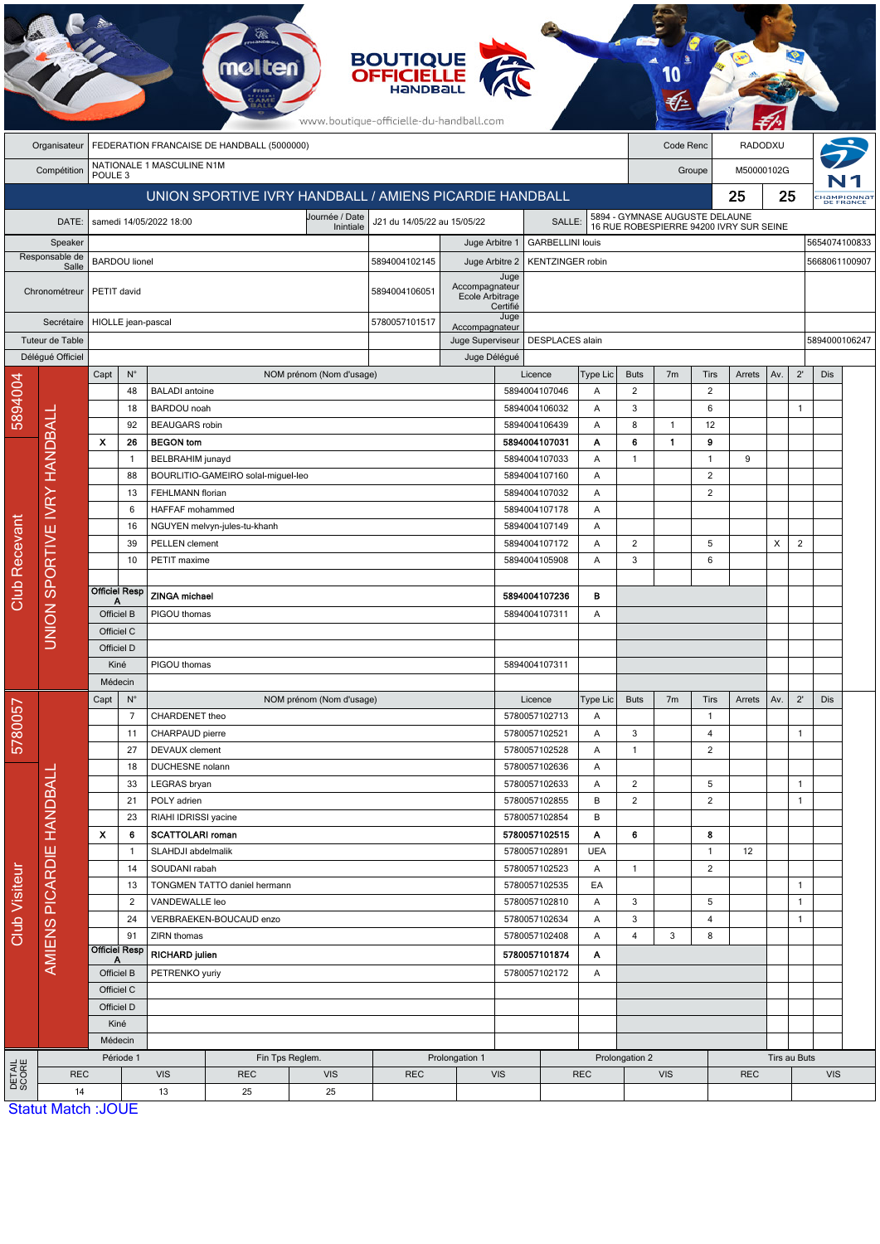|                                                                           | <b>BOUTIQUE<br/>OFFICIELLE</b><br>www.boutique-officielle-du-handball.com |                            |                                                                   |                                      |                                            |                             |                                                   |                                   |                    |                                                                           |                      |                                                 |                |                     |        |              |                |               |                         |  |
|---------------------------------------------------------------------------|---------------------------------------------------------------------------|----------------------------|-------------------------------------------------------------------|--------------------------------------|--------------------------------------------|-----------------------------|---------------------------------------------------|-----------------------------------|--------------------|---------------------------------------------------------------------------|----------------------|-------------------------------------------------|----------------|---------------------|--------|--------------|----------------|---------------|-------------------------|--|
|                                                                           | Organisateur                                                              |                            |                                                                   |                                      | FEDERATION FRANCAISE DE HANDBALL (5000000) |                             |                                                   |                                   |                    |                                                                           |                      | Code Renc                                       |                |                     |        | RADODXU      |                |               |                         |  |
|                                                                           | Compétition                                                               | NATIONALE 1 MASCULINE N1M  |                                                                   |                                      |                                            |                             |                                                   |                                   |                    |                                                                           | M50000102G<br>Groupe |                                                 |                |                     |        |              |                |               |                         |  |
| POULE <sub>3</sub>                                                        |                                                                           |                            |                                                                   |                                      |                                            |                             |                                                   |                                   |                    |                                                                           |                      | 25                                              |                |                     |        | 25           |                |               |                         |  |
| UNION SPORTIVE IVRY HANDBALL / AMIENS PICARDIE HANDBALL<br>Journée / Date |                                                                           |                            |                                                                   |                                      |                                            |                             |                                                   |                                   |                    |                                                                           |                      |                                                 |                |                     |        |              |                |               | HaMPIONNAT<br>DE FRANCE |  |
|                                                                           | DATE:                                                                     |                            |                                                                   | samedi 14/05/2022 18:00              |                                            | J21 du 14/05/22 au 15/05/22 |                                                   |                                   | <b>SALLE</b>       | 5894 - GYMNASE AUGUSTE DELAUNE<br>16 RUE ROBESPIERRE 94200 IVRY SUR SEINE |                      |                                                 |                |                     |        |              |                |               |                         |  |
| Speaker<br>Responsable de                                                 |                                                                           |                            |                                                                   |                                      |                                            |                             | Juge Arbitre 1                                    | <b>GARBELLINI louis</b>           |                    |                                                                           |                      |                                                 |                |                     |        |              | 5654074100833  |               |                         |  |
| Salle                                                                     |                                                                           | <b>BARDOU</b> lionel       |                                                                   |                                      |                                            | 5894004102145               | Juge Arbitre 2<br><b>KENTZINGER robin</b><br>Juge |                                   |                    |                                                                           |                      |                                                 |                |                     |        |              | 5668061100907  |               |                         |  |
| Chronométreur                                                             |                                                                           | PETIT david                |                                                                   |                                      |                                            |                             | 5894004106051                                     | Accompagnateur<br>Ecole Arbitrage | Certifié           |                                                                           |                      |                                                 |                |                     |        |              |                |               |                         |  |
|                                                                           | Secrétaire                                                                | HIOLLE jean-pascal         |                                                                   |                                      |                                            |                             | 5780057101517                                     | Accompagnateur                    | Juge               |                                                                           |                      |                                                 |                |                     |        |              |                |               |                         |  |
|                                                                           | Tuteur de Table                                                           |                            |                                                                   |                                      |                                            |                             |                                                   | Juge Superviseur                  |                    | DESPLACES alain                                                           |                      |                                                 |                |                     |        |              |                | 5894000106247 |                         |  |
|                                                                           | Délégué Officiel                                                          |                            |                                                                   |                                      | Juge Délégué                               |                             |                                                   |                                   |                    |                                                                           |                      |                                                 |                |                     |        |              |                |               |                         |  |
|                                                                           |                                                                           | Capt                       | $\mathsf{N}^\circ$                                                |                                      |                                            | NOM prénom (Nom d'usage)    |                                                   |                                   |                    | Licence                                                                   | Type Lic             | <b>Buts</b>                                     | 7 <sub>m</sub> | Tirs                | Arrets | Av.          | $2^{\prime}$   | Dis           |                         |  |
| 5894004                                                                   |                                                                           |                            | 48<br>18                                                          | <b>BALADI</b> antoine<br>BARDOU noah |                                            |                             |                                                   |                                   |                    | 5894004107046<br>5894004106032                                            | Α<br>Α               | $\overline{2}$<br>3                             |                | $\overline{2}$<br>6 |        |              | $\overline{1}$ |               |                         |  |
|                                                                           |                                                                           |                            | 92                                                                | <b>BEAUGARS</b> robin                |                                            |                             |                                                   |                                   |                    | 5894004106439                                                             | Α                    | 8                                               | $\mathbf{1}$   | 12                  |        |              |                |               |                         |  |
|                                                                           |                                                                           | X<br>26                    |                                                                   | <b>BEGON</b> tom                     |                                            |                             |                                                   |                                   |                    | 5894004107031                                                             | Α                    | 6                                               | $\mathbf{1}$   | 9                   |        |              |                |               |                         |  |
|                                                                           |                                                                           | 1                          |                                                                   | BELBRAHIM junayd                     |                                            |                             |                                                   |                                   |                    | 5894004107033                                                             |                      | 1                                               |                | $\overline{1}$      | 9      |              |                |               |                         |  |
|                                                                           |                                                                           | 88                         |                                                                   |                                      | BOURLITIO-GAMEIRO solal-miguel-leo         |                             |                                                   |                                   |                    | 5894004107160<br>A                                                        |                      |                                                 |                | $\overline{2}$      |        |              |                |               |                         |  |
|                                                                           |                                                                           | 13                         |                                                                   | FEHLMANN florian                     |                                            |                             |                                                   |                                   |                    | 5894004107032                                                             | Α                    |                                                 |                | $\overline{2}$      |        |              |                |               |                         |  |
|                                                                           |                                                                           | 6                          |                                                                   | HAFFAF mohammed                      |                                            |                             |                                                   |                                   |                    | 5894004107178                                                             | Α                    |                                                 |                |                     |        |              |                |               |                         |  |
|                                                                           |                                                                           | 16<br>39<br>PELLEN clement |                                                                   |                                      | NGUYEN melvyn-jules-tu-khanh               |                             |                                                   |                                   |                    | 5894004107149<br>A<br>5894004107172<br>Α                                  |                      | $\overline{\mathbf{c}}$                         |                | 5                   |        | X            | $\overline{2}$ |               |                         |  |
|                                                                           |                                                                           |                            | 10                                                                | PETIT maxime                         |                                            |                             |                                                   |                                   |                    | 5894004105908                                                             | $\overline{A}$       | 3                                               |                | 6                   |        |              |                |               |                         |  |
| Club Recevant                                                             | UNION SPORTIVE IVRY HANDBALL                                              |                            |                                                                   |                                      |                                            |                             |                                                   |                                   |                    |                                                                           |                      |                                                 |                |                     |        |              |                |               |                         |  |
|                                                                           |                                                                           | <b>Officiel Resp</b><br>А  |                                                                   |                                      | <b>ZINGA</b> michael                       |                             |                                                   |                                   | 5894004107236      | в                                                                         |                      |                                                 |                |                     |        |              |                |               |                         |  |
|                                                                           |                                                                           | Officiel B                 |                                                                   | PIGOU thomas                         |                                            |                             |                                                   | 5894004107311                     | A                  |                                                                           |                      |                                                 |                |                     |        |              |                |               |                         |  |
|                                                                           |                                                                           | Officiel C                 |                                                                   |                                      |                                            |                             |                                                   |                                   |                    |                                                                           |                      |                                                 |                |                     |        |              |                |               |                         |  |
|                                                                           |                                                                           | Officiel D<br>Kiné         |                                                                   | PIGOU thomas                         |                                            |                             |                                                   |                                   | 5894004107311      |                                                                           |                      |                                                 |                |                     |        |              |                |               |                         |  |
|                                                                           |                                                                           | Médecin                    |                                                                   |                                      |                                            |                             |                                                   |                                   |                    |                                                                           |                      |                                                 |                |                     |        |              |                |               |                         |  |
|                                                                           |                                                                           | $\mathsf{N}^\circ$<br>Capt |                                                                   |                                      | NOM prénom (Nom d'usage)                   |                             |                                                   |                                   |                    | Licence                                                                   | Type Lic             | <b>Buts</b><br>7 <sub>m</sub><br>Tirs<br>Arrets |                |                     |        | Av.          | $2^{\prime}$   | Dis           |                         |  |
|                                                                           |                                                                           |                            | $\overline{7}$                                                    | CHARDENET theo                       |                                            |                             |                                                   |                                   |                    | 5780057102713                                                             | A                    |                                                 |                | $\mathbf{1}$        |        |              |                |               |                         |  |
| 5780057                                                                   |                                                                           |                            | 11                                                                | CHARPAUD pierre                      |                                            |                             |                                                   |                                   |                    | 5780057102521                                                             | Α                    | 3                                               |                | 4                   |        |              | $\mathbf{1}$   |               |                         |  |
|                                                                           |                                                                           |                            | 27<br>18                                                          | DEVAUX clement<br>DUCHESNE nolann    |                                            |                             |                                                   |                                   |                    | 5780057102528<br>5780057102636                                            | Α                    | $\mathbf{1}$                                    |                | 2                   |        |              |                |               |                         |  |
|                                                                           |                                                                           |                            | 33                                                                | LEGRAS bryan                         |                                            |                             |                                                   |                                   |                    | 5780057102633                                                             | A<br>Α               | $\overline{c}$                                  |                | 5                   |        |              | $\mathbf{1}$   |               |                         |  |
|                                                                           |                                                                           | 21                         |                                                                   | POLY adrien                          |                                            |                             |                                                   |                                   | 5780057102855      |                                                                           |                      | $\overline{2}$                                  |                | $\overline{2}$      |        |              | $\mathbf{1}$   |               |                         |  |
|                                                                           |                                                                           | 23                         |                                                                   | RIAHI IDRISSI yacine                 |                                            |                             |                                                   |                                   | 5780057102854<br>B |                                                                           |                      |                                                 |                |                     |        |              |                |               |                         |  |
|                                                                           |                                                                           | X                          | 6                                                                 | <b>SCATTOLARI roman</b>              |                                            |                             |                                                   |                                   |                    | 5780057102515                                                             | A                    | 6                                               |                | 8                   |        |              |                |               |                         |  |
|                                                                           |                                                                           |                            | $\mathbf{1}$                                                      | SLAHDJI abdelmalik                   |                                            |                             |                                                   |                                   |                    | 5780057102891                                                             | <b>UEA</b>           |                                                 |                | $\mathbf{1}$        | 12     |              |                |               |                         |  |
|                                                                           |                                                                           |                            | 14<br>13                                                          | SOUDANI rabah                        | TONGMEN TATTO daniel hermann               |                             |                                                   | 5780057102523<br>5780057102535    |                    | Α<br>EA                                                                   | $\mathbf{1}$         |                                                 | $\overline{2}$ |                     |        | $\mathbf{1}$ |                |               |                         |  |
|                                                                           |                                                                           |                            | $\overline{2}$<br>VANDEWALLE leo<br>VERBRAEKEN-BOUCAUD enzo<br>24 |                                      |                                            |                             |                                                   | 5780057102810                     |                    | Α                                                                         | 3                    |                                                 | 5              |                     |        | $\mathbf{1}$ |                |               |                         |  |
| <b>Club Visiteur</b>                                                      |                                                                           |                            |                                                                   |                                      |                                            |                             |                                                   | 5780057102634                     |                    | Α                                                                         | 3                    |                                                 | $\overline{4}$ |                     |        | $\mathbf{1}$ |                |               |                         |  |
|                                                                           | AMIENS PICARDIE HANDBALL                                                  |                            | 91                                                                | ZIRN thomas                          |                                            |                             |                                                   |                                   |                    | 5780057102408                                                             | Α                    | $\overline{4}$                                  | 3              | 8                   |        |              |                |               |                         |  |
|                                                                           |                                                                           | <b>Officiel Resp</b>       |                                                                   | <b>RICHARD julien</b>                |                                            |                             | 5780057101874<br>Α                                |                                   |                    |                                                                           |                      |                                                 |                |                     |        |              |                |               |                         |  |
|                                                                           |                                                                           | Officiel B                 |                                                                   | PETRENKO yuriy                       |                                            |                             | 5780057102172<br>A                                |                                   |                    |                                                                           |                      |                                                 |                |                     |        |              |                |               |                         |  |
|                                                                           |                                                                           | Officiel C<br>Officiel D   |                                                                   |                                      |                                            |                             |                                                   |                                   |                    |                                                                           |                      |                                                 |                |                     |        |              |                |               |                         |  |
|                                                                           |                                                                           | Kiné                       |                                                                   |                                      |                                            |                             |                                                   |                                   |                    |                                                                           |                      |                                                 |                |                     |        |              |                |               |                         |  |
|                                                                           |                                                                           | Médecin                    |                                                                   |                                      |                                            |                             |                                                   |                                   |                    |                                                                           |                      |                                                 |                |                     |        |              |                |               |                         |  |
| DETAIL<br>SCORE                                                           |                                                                           | Période 1                  |                                                                   | Fin Tps Reglem.                      |                                            |                             |                                                   | Prolongation 1                    |                    |                                                                           |                      | Prolongation 2                                  |                |                     |        |              | Tirs au Buts   |               |                         |  |
|                                                                           | <b>REC</b>                                                                |                            |                                                                   | <b>VIS</b>                           | <b>REC</b>                                 | <b>VIS</b>                  | <b>REC</b>                                        |                                   | <b>VIS</b>         | <b>REC</b>                                                                |                      | <b>VIS</b>                                      |                | <b>REC</b>          |        |              | <b>VIS</b>     |               |                         |  |
|                                                                           | 14<br>Statut Match : IOUE                                                 |                            |                                                                   | 13                                   | 25                                         | 25                          |                                                   |                                   |                    |                                                                           |                      |                                                 |                |                     |        |              |                |               |                         |  |

**Statut Match :JOUE**